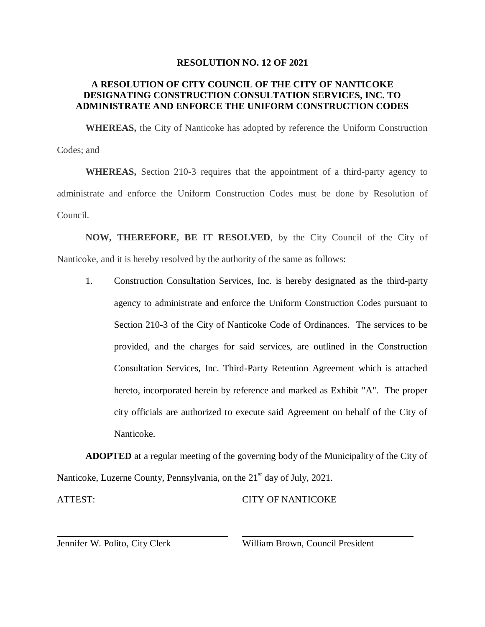## **RESOLUTION NO. 12 OF 2021**

## **A RESOLUTION OF CITY COUNCIL OF THE CITY OF NANTICOKE DESIGNATING CONSTRUCTION CONSULTATION SERVICES, INC. TO ADMINISTRATE AND ENFORCE THE UNIFORM CONSTRUCTION CODES**

**WHEREAS,** the City of Nanticoke has adopted by reference the Uniform Construction Codes; and

**WHEREAS,** Section 210-3 requires that the appointment of a third-party agency to administrate and enforce the Uniform Construction Codes must be done by Resolution of Council.

**NOW, THEREFORE, BE IT RESOLVED**, by the City Council of the City of Nanticoke, and it is hereby resolved by the authority of the same as follows:

1. Construction Consultation Services, Inc. is hereby designated as the third-party agency to administrate and enforce the Uniform Construction Codes pursuant to Section 210-3 of the City of Nanticoke Code of Ordinances. The services to be provided, and the charges for said services, are outlined in the Construction Consultation Services, Inc. Third-Party Retention Agreement which is attached hereto, incorporated herein by reference and marked as Exhibit "A". The proper city officials are authorized to execute said Agreement on behalf of the City of Nanticoke.

**ADOPTED** at a regular meeting of the governing body of the Municipality of the City of Nanticoke, Luzerne County, Pennsylvania, on the  $21<sup>st</sup>$  day of July, 2021.

ATTEST:

CITY OF NANTICOKE

Jennifer W. Polito, City Clerk

William Brown, Council President